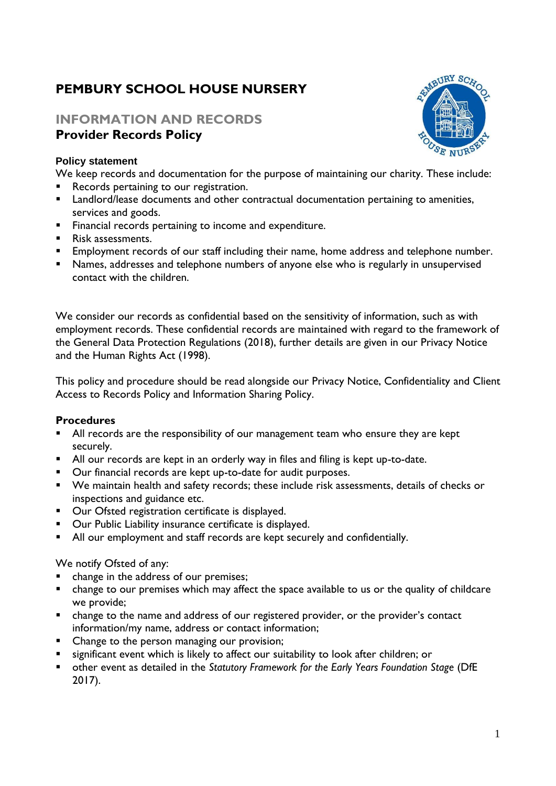# **PEMBURY SCHOOL HOUSE NURSERY**

# **INFORMATION AND RECORDS Provider Records Policy**

#### **Policy statement**

We keep records and documentation for the purpose of maintaining our charity. These include:

- Records pertaining to our registration.
- Landlord/lease documents and other contractual documentation pertaining to amenities, services and goods.
- Financial records pertaining to income and expenditure.
- Risk assessments.
- **Employment records of our staff including their name, home address and telephone number.**
- Names, addresses and telephone numbers of anyone else who is regularly in unsupervised contact with the children.

We consider our records as confidential based on the sensitivity of information, such as with employment records. These confidential records are maintained with regard to the framework of the General Data Protection Regulations (2018), further details are given in our Privacy Notice and the Human Rights Act (1998).

This policy and procedure should be read alongside our Privacy Notice, Confidentiality and Client Access to Records Policy and Information Sharing Policy.

### **Procedures**

- All records are the responsibility of our management team who ensure they are kept securely.
- All our records are kept in an orderly way in files and filing is kept up-to-date.
- Our financial records are kept up-to-date for audit purposes.
- We maintain health and safety records; these include risk assessments, details of checks or inspections and guidance etc.
- Our Ofsted registration certificate is displayed.
- Our Public Liability insurance certificate is displayed.
- All our employment and staff records are kept securely and confidentially.

#### We notify Ofsted of any:

- change in the address of our premises;
- change to our premises which may affect the space available to us or the quality of childcare we provide;
- change to the name and address of our registered provider, or the provider's contact information/my name, address or contact information;
- Change to the person managing our provision;
- significant event which is likely to affect our suitability to look after children; or
- other event as detailed in the *Statutory Framework for the Early Years Foundation Stage* (DfE 2017).